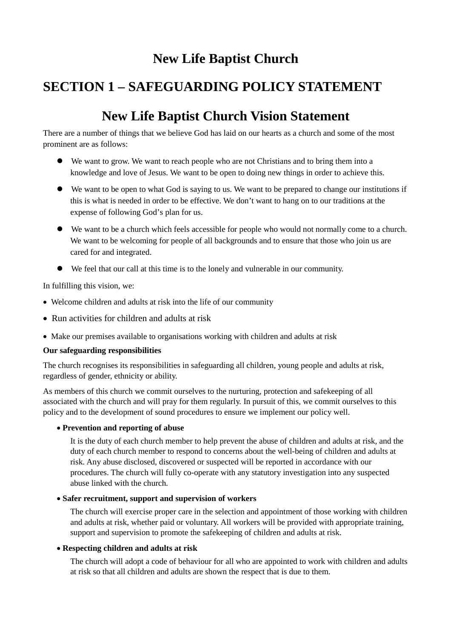## **New Life Baptist Church**

# **SECTION 1 – SAFEGUARDING POLICY STATEMENT**

# **New Life Baptist Church Vision Statement**

There are a number of things that we believe God has laid on our hearts as a church and some of the most prominent are as follows:

- $\bullet$  We want to grow. We want to reach people who are not Christians and to bring them into a knowledge and love of Jesus. We want to be open to doing new things in order to achieve this.
- l We want to be open to what God is saying to us. We want to be prepared to change our institutions if this is what is needed in order to be effective. We don't want to hang on to our traditions at the expense of following God's plan for us.
- $\bullet$  We want to be a church which feels accessible for people who would not normally come to a church. We want to be welcoming for people of all backgrounds and to ensure that those who join us are cared for and integrated.
- l We feel that our call at this time is to the lonely and vulnerable in our community.

In fulfilling this vision, we:

- · Welcome children and adults at risk into the life of our community
- · Run activities for children and adults at risk
- · Make our premises available to organisations working with children and adults at risk

#### **Our safeguarding responsibilities**

The church recognises its responsibilities in safeguarding all children, young people and adults at risk, regardless of gender, ethnicity or ability.

As members of this church we commit ourselves to the nurturing, protection and safekeeping of all associated with the church and will pray for them regularly. In pursuit of this, we commit ourselves to this policy and to the development of sound procedures to ensure we implement our policy well.

#### · **Prevention and reporting of abuse**

It is the duty of each church member to help prevent the abuse of children and adults at risk, and the duty of each church member to respond to concerns about the well-being of children and adults at risk. Any abuse disclosed, discovered or suspected will be reported in accordance with our procedures. The church will fully co-operate with any statutory investigation into any suspected abuse linked with the church.

#### · **Safer recruitment, support and supervision of workers**

The church will exercise proper care in the selection and appointment of those working with children and adults at risk, whether paid or voluntary. All workers will be provided with appropriate training, support and supervision to promote the safekeeping of children and adults at risk.

#### · **Respecting children and adults at risk**

The church will adopt a code of behaviour for all who are appointed to work with children and adults at risk so that all children and adults are shown the respect that is due to them.